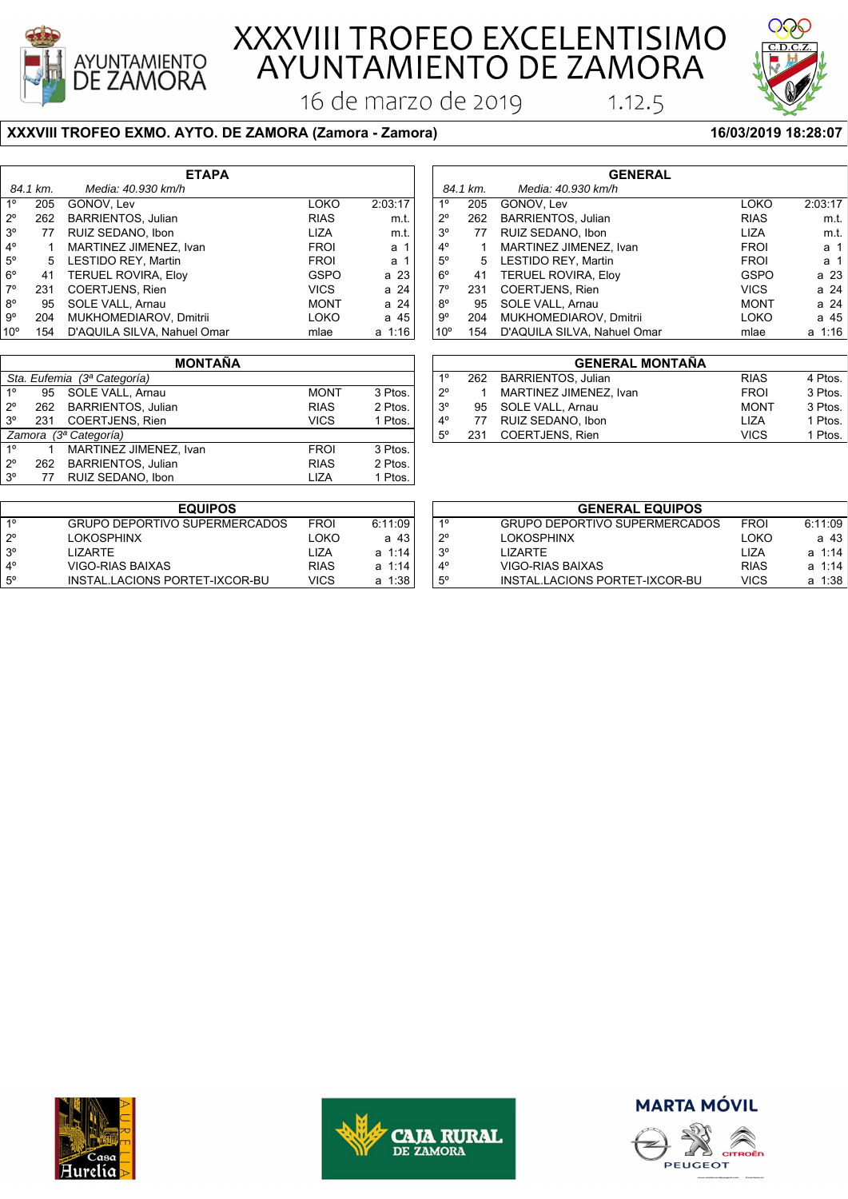

77 RUIZ SEDANO, Ibon

# XXXVIII TROFEO EXCELENTISIMO<br>AYUNTAMIENTO DE ZAMORA

16 de marzo de 2019

#### **XXXVIII TROFEO EXMO. AYTO. DE ZAMORA (Zamora - Zamora) 16/03/2019 18:28:07**

| <b>ETAPA</b>    |          |                             |             |         |  |
|-----------------|----------|-----------------------------|-------------|---------|--|
|                 | 84.1 km. | Media: 40.930 km/h          |             |         |  |
| 1 <sup>0</sup>  | 205      | GONOV, Lev                  | LOKO        | 2:03:17 |  |
| $2^{\circ}$     | 262      | <b>BARRIENTOS, Julian</b>   | <b>RIAS</b> | m.t.    |  |
| 3 <sup>o</sup>  | 77       | RUIZ SEDANO, Ibon           | <b>LIZA</b> | m.t.    |  |
| $4^{\circ}$     | 1        | MARTINEZ JIMENEZ, Ivan      | <b>FROI</b> | а 1     |  |
| $5^\circ$       | 5        | LESTIDO REY, Martin         | <b>FROI</b> | а 1     |  |
| $6^{\circ}$     | 41       | <b>TERUEL ROVIRA, Eloy</b>  | <b>GSPO</b> | a 23    |  |
| $7^\circ$       | 231      | <b>COERTJENS, Rien</b>      | <b>VICS</b> | a 24    |  |
| $8^{\circ}$     | 95       | SOLE VALL, Arnau            | <b>MONT</b> | a 24    |  |
| $9^{\circ}$     | 204      | MUKHOMEDIAROV, Dmitrii      | LOKO        | a 45    |  |
| 10 <sup>o</sup> | 154      | D'AQUILA SILVA, Nahuel Omar | mlae        | a 1:16  |  |
|                 |          |                             |             |         |  |

|                 |              |                             | ,,,         | <u>u c t</u> |              | ـ ب | ◡◡▭         |
|-----------------|--------------|-----------------------------|-------------|--------------|--------------|-----|-------------|
| $8^{\circ}$     | 95           | SOLE VALL, Arnau            | <b>MONT</b> | a 24         | 8°           | 95  | SOLE        |
| $9^{\circ}$     | 204          | MUKHOMEDIAROV, Dmitrii      | LOKO        | a 45         | $9^{\circ}$  | 204 | <b>MUK</b>  |
| 10 <sup>o</sup> | 154          | D'AQUILA SILVA, Nahuel Omar | mlae        | a 1:16       | $10^{\circ}$ | 154 | D'AQ        |
|                 |              |                             |             |              |              |     |             |
|                 |              | <b>MONTAÑA</b>              |             |              |              |     |             |
|                 | Sta. Eufemia | (3ª Categoría)              |             |              | $1^{\circ}$  | 262 | <b>BAR</b>  |
| $1^{\circ}$     | 95           | SOLE VALL, Arnau            | <b>MONT</b> | 3 Ptos.      | $2^{\circ}$  | 1   | <b>MAR</b>  |
| $2^{\circ}$     | 262          | <b>BARRIENTOS, Julian</b>   | <b>RIAS</b> | 2 Ptos.      | $3^{\circ}$  | 95  | SOLE        |
| $3^{\circ}$     | 231          | <b>COERTJENS, Rien</b>      | <b>VICS</b> | 1 Ptos.      | $4^{\circ}$  | 77  | <b>RUIZ</b> |
|                 | Zamora       | (3ª Categoría)              |             |              | $5^\circ$    | 231 | <b>COE</b>  |
| $1^{\circ}$     |              | MARTINEZ JIMENEZ, Ivan      | <b>FROI</b> | 3 Ptos.      |              |     |             |
| $2^{\circ}$     | 262          | <b>BARRIENTOS, Julian</b>   | <b>RIAS</b> | 2 Ptos.      |              |     |             |

| <b>GENERAL</b> |          |                             |             |           |  |
|----------------|----------|-----------------------------|-------------|-----------|--|
|                | 84.1 km. | Media: 40.930 km/h          |             |           |  |
| $1^{\circ}$    | 205      | GONOV, Lev                  | LOKO        | 2:03:17   |  |
| $2^{\circ}$    | 262      | <b>BARRIENTOS, Julian</b>   | <b>RIAS</b> | m.t.      |  |
| 3 <sup>o</sup> | 77       | RUIZ SEDANO, Ibon           | <b>LIZA</b> | m.t.      |  |
| $4^{\circ}$    | 1        | MARTINEZ JIMENEZ, Ivan      | <b>FROI</b> | a 1       |  |
| $5^{\circ}$    |          | 5 LESTIDO REY, Martin       | <b>FROI</b> | a 1       |  |
| $6^{\circ}$    | 41       | <b>TERUEL ROVIRA, Eloy</b>  | <b>GSPO</b> | a 23      |  |
| $7^\circ$      | 231      | <b>COERTJENS, Rien</b>      | <b>VICS</b> | a 24      |  |
| $8^{\circ}$    | 95       | SOLE VALL, Arnau            | <b>MONT</b> | a 24      |  |
| 9°             | 204      | MUKHOMEDIAROV, Dmitrii      | LOKO        | a 45      |  |
| $10^{\circ}$   | 154      | D'AQUILA SILVA, Nahuel Omar | mlae        | 1:16<br>a |  |

 $1.12.5$ 

|             | <b>GENERAL MONTAÑA</b> |                        |             |         |  |  |
|-------------|------------------------|------------------------|-------------|---------|--|--|
| $1^{\circ}$ |                        | 262 BARRIENTOS, Julian | <b>RIAS</b> | 4 Ptos. |  |  |
| $2^{\circ}$ |                        | MARTINEZ JIMENEZ, Ivan | <b>FROI</b> | 3 Ptos. |  |  |
| $3^{\circ}$ | 95                     | SOLE VALL, Arnau       | <b>MONT</b> | 3 Ptos. |  |  |
| $4^{\circ}$ | 77                     | RUIZ SEDANO, Ibon      | LIZA        | 1 Ptos. |  |  |
| $5^{\circ}$ | 231                    | <b>COERTJENS, Rien</b> | <b>VICS</b> | 1 Ptos. |  |  |
|             |                        |                        |             |         |  |  |

|             | <b>EQUIPOS</b>                       |             |            |
|-------------|--------------------------------------|-------------|------------|
| 10          | <b>GRUPO DEPORTIVO SUPERMERCADOS</b> | <b>FROI</b> | 6:11:09    |
| $2^{\circ}$ | <b>LOKOSPHINX</b>                    | LOKO        | a 43       |
| $3^{\circ}$ | I IZARTF                             | 1 IZA       | $a \t1:14$ |
| $4^{\circ}$ | VIGO-RIAS BAIXAS                     | <b>RIAS</b> | a 1:14     |
| $5^{\circ}$ | INSTAL LACIONS PORTET-IXCOR-BU       | <b>VICS</b> | a 1:38     |

2º 262 BARRIENTOS, Julian RIAS 2 Ptos.<br>3º 77 RUIZ SEDANO, Ibon RIAN LIZA 1 Ptos.

| <b>GENERAL EQUIPOS</b> |                                |             |            |  |  |
|------------------------|--------------------------------|-------------|------------|--|--|
| $1^{\circ}$            | GRUPO DEPORTIVO SUPERMERCADOS  | <b>FROI</b> | 6:11:09    |  |  |
| $2^{\circ}$            | <b>LOKOSPHINX</b>              | LOKO        | a 43       |  |  |
| $3^{\circ}$            | I IZARTF                       | 1 I 7 A     | a 1.14     |  |  |
| $4^{\circ}$            | VIGO-RIAS BAIXAS               | <b>RIAS</b> | $a \ 1.14$ |  |  |
| $5^{\circ}$            | INSTAL LACIONS PORTET-IXCOR-BU | <b>VICS</b> | a 1:38     |  |  |







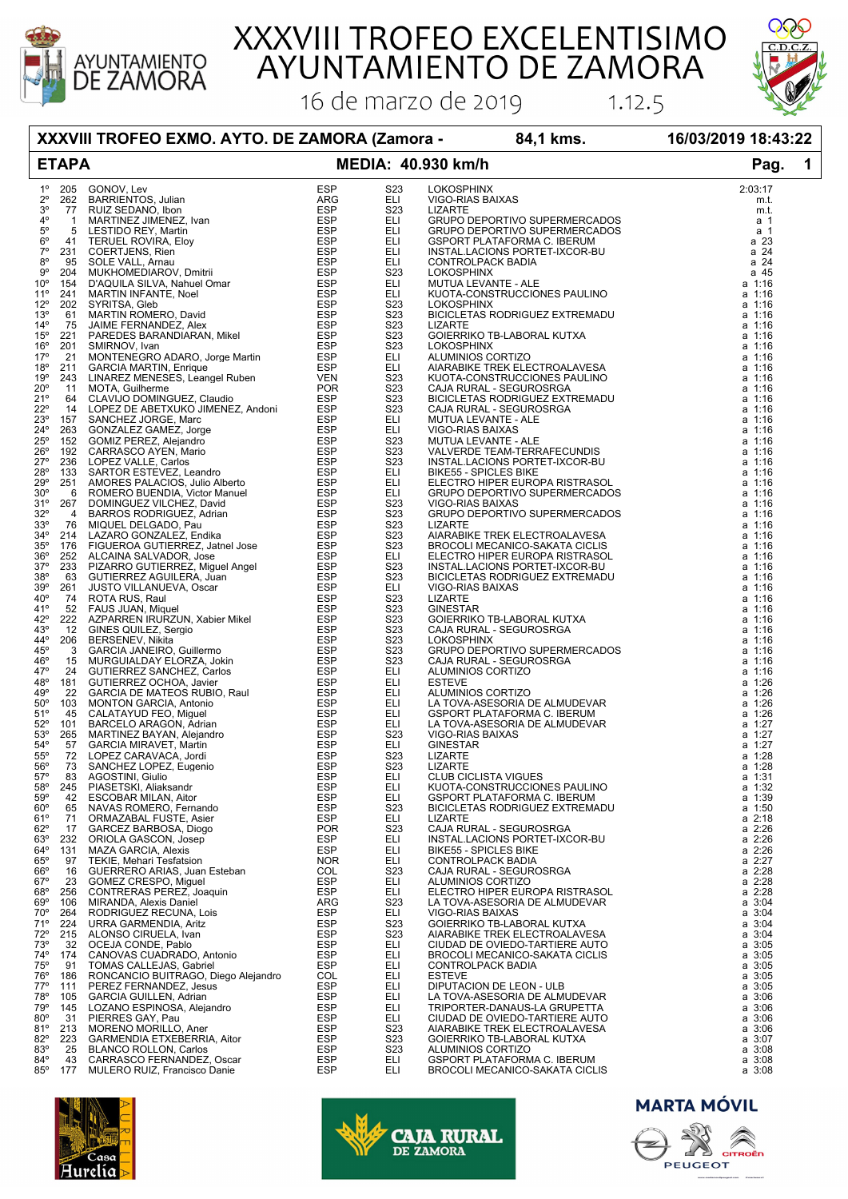

# XXXVIII TROFEO EXCELENTISIMO<br>AYUNTAMIENTO DE ZAMORA

16 de marzo de 2019



### **XXXVIII TROFEO EXMO. AYTO. DE ZAMORA (Zamora - 84,1 kms. 16/03/2019 18:43:22**

## **ETAPA MEDIA: 40.930 km/h Pag. 1**

 $1.12.5$ 

| $1^{\circ}$     |     |                                                                                                                                                                                                                                                                        |            | S <sub>2</sub> 3 | LOKOSPHINX<br>LIZARTE<br>CRUPO DEPORTIVO SUPERMERCADOS<br>GRUPO DEPORTIVO SUPERMERCADOS<br>GRUPO DEPORTIVO SUPERMERCADOS<br>GSPORT PLATAFORMA C. IBERUM<br>INSTAL.LACIONS PORTET-IXCOR-BU<br>LOKOSPHINX<br>MUTUA LEVANTE - ALE<br>KUOTA-CONSTRUCCIONES PA | 2:03:17     |
|-----------------|-----|------------------------------------------------------------------------------------------------------------------------------------------------------------------------------------------------------------------------------------------------------------------------|------------|------------------|-----------------------------------------------------------------------------------------------------------------------------------------------------------------------------------------------------------------------------------------------------------|-------------|
| $2^{\circ}$     |     |                                                                                                                                                                                                                                                                        |            | ELI              |                                                                                                                                                                                                                                                           | m.t.        |
| $3^{\circ}$     |     |                                                                                                                                                                                                                                                                        |            |                  |                                                                                                                                                                                                                                                           |             |
|                 |     |                                                                                                                                                                                                                                                                        |            | S <sub>2</sub> 3 |                                                                                                                                                                                                                                                           | m.t.        |
| $4^{\circ}$     |     |                                                                                                                                                                                                                                                                        |            | ELI              |                                                                                                                                                                                                                                                           | a 1         |
| $5^{\circ}$     |     |                                                                                                                                                                                                                                                                        |            | ELI              |                                                                                                                                                                                                                                                           | a 1         |
| $6^{\circ}$     |     |                                                                                                                                                                                                                                                                        |            | ELI              |                                                                                                                                                                                                                                                           | a 23        |
| $7^\circ$       |     |                                                                                                                                                                                                                                                                        |            |                  |                                                                                                                                                                                                                                                           |             |
|                 |     |                                                                                                                                                                                                                                                                        |            | ELI              |                                                                                                                                                                                                                                                           | a 24        |
| $8^{\circ}$     |     |                                                                                                                                                                                                                                                                        |            | ELI              |                                                                                                                                                                                                                                                           | a 24        |
| 9°              |     |                                                                                                                                                                                                                                                                        |            | S <sub>23</sub>  |                                                                                                                                                                                                                                                           | a 45        |
| $10^{\circ}$    |     |                                                                                                                                                                                                                                                                        |            | ELI              |                                                                                                                                                                                                                                                           | a 1:16      |
|                 |     |                                                                                                                                                                                                                                                                        |            |                  |                                                                                                                                                                                                                                                           |             |
| $11^{\circ}$    |     |                                                                                                                                                                                                                                                                        |            | ELI              |                                                                                                                                                                                                                                                           | a 1:16      |
| $12^{\circ}$    |     |                                                                                                                                                                                                                                                                        |            | S <sub>2</sub> 3 |                                                                                                                                                                                                                                                           | a 1:16      |
| 13 <sup>°</sup> |     |                                                                                                                                                                                                                                                                        |            | S <sub>23</sub>  |                                                                                                                                                                                                                                                           | a 1:16      |
| $14^{\circ}$    |     |                                                                                                                                                                                                                                                                        |            | S <sub>2</sub> 3 |                                                                                                                                                                                                                                                           | a 1:16      |
|                 |     |                                                                                                                                                                                                                                                                        |            |                  |                                                                                                                                                                                                                                                           |             |
| $15^{\circ}$    |     |                                                                                                                                                                                                                                                                        |            | S <sub>2</sub> 3 |                                                                                                                                                                                                                                                           | a 1:16      |
| $16^{\circ}$    |     |                                                                                                                                                                                                                                                                        |            | S <sub>2</sub> 3 |                                                                                                                                                                                                                                                           | a 1:16      |
| 17°             |     |                                                                                                                                                                                                                                                                        |            | ELI              |                                                                                                                                                                                                                                                           | a 1:16      |
| $18^{\circ}$    |     |                                                                                                                                                                                                                                                                        |            | ELI              |                                                                                                                                                                                                                                                           | a 1:16      |
|                 |     |                                                                                                                                                                                                                                                                        |            |                  |                                                                                                                                                                                                                                                           | a 1:16      |
| $19^{\circ}$    |     |                                                                                                                                                                                                                                                                        |            | S <sub>2</sub> 3 |                                                                                                                                                                                                                                                           |             |
| $20^{\circ}$    |     |                                                                                                                                                                                                                                                                        |            | S <sub>23</sub>  |                                                                                                                                                                                                                                                           | a 1:16      |
| 21°             |     |                                                                                                                                                                                                                                                                        |            | S <sub>23</sub>  |                                                                                                                                                                                                                                                           | a 1:16      |
| $22^{\circ}$    |     |                                                                                                                                                                                                                                                                        |            | S <sub>23</sub>  |                                                                                                                                                                                                                                                           | a 1:16      |
| $23^{\circ}$    |     |                                                                                                                                                                                                                                                                        |            | ELI              |                                                                                                                                                                                                                                                           | a 1:16      |
|                 |     |                                                                                                                                                                                                                                                                        |            |                  |                                                                                                                                                                                                                                                           |             |
| 24°             |     |                                                                                                                                                                                                                                                                        |            | ELI              |                                                                                                                                                                                                                                                           | a 1:16      |
| $25^{\circ}$    |     |                                                                                                                                                                                                                                                                        |            | S <sub>23</sub>  |                                                                                                                                                                                                                                                           | a 1:16      |
| 26°             |     |                                                                                                                                                                                                                                                                        |            | S <sub>2</sub> 3 |                                                                                                                                                                                                                                                           | a 1:16      |
| $27^{\circ}$    |     |                                                                                                                                                                                                                                                                        |            | S <sub>23</sub>  |                                                                                                                                                                                                                                                           | a 1:16      |
|                 |     |                                                                                                                                                                                                                                                                        |            |                  |                                                                                                                                                                                                                                                           |             |
| 28°             |     |                                                                                                                                                                                                                                                                        |            | ELI              |                                                                                                                                                                                                                                                           | a 1:16      |
| $29^{\circ}$    |     |                                                                                                                                                                                                                                                                        |            | ELI              |                                                                                                                                                                                                                                                           | a 1:16      |
| $30^{\circ}$    |     |                                                                                                                                                                                                                                                                        |            | ELI              |                                                                                                                                                                                                                                                           | a 1:16      |
|                 |     |                                                                                                                                                                                                                                                                        |            | S <sub>2</sub> 3 |                                                                                                                                                                                                                                                           | a 1:16      |
| 31°             |     |                                                                                                                                                                                                                                                                        |            |                  |                                                                                                                                                                                                                                                           |             |
| $32^{\circ}$    |     |                                                                                                                                                                                                                                                                        |            | S <sub>23</sub>  |                                                                                                                                                                                                                                                           | a 1:16      |
| $33^{\circ}$    |     |                                                                                                                                                                                                                                                                        |            | S <sub>23</sub>  |                                                                                                                                                                                                                                                           | a 1:16      |
| $34^\circ$      |     |                                                                                                                                                                                                                                                                        |            | S <sub>23</sub>  |                                                                                                                                                                                                                                                           | a 1:16      |
| $35^{\circ}$    |     |                                                                                                                                                                                                                                                                        |            | S <sub>23</sub>  |                                                                                                                                                                                                                                                           | a 1:16      |
|                 |     |                                                                                                                                                                                                                                                                        |            |                  |                                                                                                                                                                                                                                                           |             |
| $36^{\circ}$    |     |                                                                                                                                                                                                                                                                        |            | ELI              |                                                                                                                                                                                                                                                           | a 1:16      |
| $37^\circ$      |     |                                                                                                                                                                                                                                                                        |            | S <sub>23</sub>  |                                                                                                                                                                                                                                                           | a 1:16      |
| $38^{\circ}$    |     |                                                                                                                                                                                                                                                                        |            | S <sub>2</sub> 3 |                                                                                                                                                                                                                                                           | a 1:16      |
| 39°             |     |                                                                                                                                                                                                                                                                        |            | ELI.             |                                                                                                                                                                                                                                                           | a 1:16      |
|                 |     |                                                                                                                                                                                                                                                                        |            |                  |                                                                                                                                                                                                                                                           |             |
| $40^{\circ}$    |     |                                                                                                                                                                                                                                                                        |            | S <sub>2</sub> 3 |                                                                                                                                                                                                                                                           | a 1:16      |
| 41°             |     |                                                                                                                                                                                                                                                                        |            | S <sub>23</sub>  |                                                                                                                                                                                                                                                           | a 1:16      |
| $42^{\circ}$    |     |                                                                                                                                                                                                                                                                        |            | S <sub>2</sub> 3 |                                                                                                                                                                                                                                                           | a 1:16      |
| 43°             |     |                                                                                                                                                                                                                                                                        |            | S <sub>2</sub> 3 |                                                                                                                                                                                                                                                           | a 1:16      |
| 44°             |     |                                                                                                                                                                                                                                                                        |            |                  |                                                                                                                                                                                                                                                           |             |
|                 |     |                                                                                                                                                                                                                                                                        |            | S <sub>23</sub>  |                                                                                                                                                                                                                                                           | a 1:16      |
| 45°             |     |                                                                                                                                                                                                                                                                        |            | S <sub>23</sub>  |                                                                                                                                                                                                                                                           | a 1:16      |
| 46°             |     |                                                                                                                                                                                                                                                                        |            | S <sub>23</sub>  |                                                                                                                                                                                                                                                           | a 1:16      |
| $47^\circ$      |     |                                                                                                                                                                                                                                                                        |            | ELI              |                                                                                                                                                                                                                                                           | a 1:16      |
|                 |     |                                                                                                                                                                                                                                                                        |            |                  |                                                                                                                                                                                                                                                           |             |
| 48°             |     |                                                                                                                                                                                                                                                                        |            | ELI              |                                                                                                                                                                                                                                                           | a 1:26      |
| 49°             |     |                                                                                                                                                                                                                                                                        |            | ELI              |                                                                                                                                                                                                                                                           | a 1:26      |
| $50^{\circ}$    |     |                                                                                                                                                                                                                                                                        |            | ELI              |                                                                                                                                                                                                                                                           | a 1:26      |
| 51°             |     |                                                                                                                                                                                                                                                                        |            | ELI              |                                                                                                                                                                                                                                                           | a 1:26      |
| $52^{\circ}$    |     |                                                                                                                                                                                                                                                                        |            | ELI              |                                                                                                                                                                                                                                                           | a 1:27      |
|                 |     |                                                                                                                                                                                                                                                                        |            |                  |                                                                                                                                                                                                                                                           |             |
| 53°             |     |                                                                                                                                                                                                                                                                        |            | S <sub>23</sub>  |                                                                                                                                                                                                                                                           | a 1:27      |
| 54°             |     |                                                                                                                                                                                                                                                                        |            | ELI              |                                                                                                                                                                                                                                                           | a 1:27      |
| $55^{\circ}$    |     |                                                                                                                                                                                                                                                                        |            | S <sub>2</sub> 3 |                                                                                                                                                                                                                                                           | a 1:28      |
| $56^{\circ}$    |     |                                                                                                                                                                                                                                                                        |            | S <sub>23</sub>  |                                                                                                                                                                                                                                                           | a 1:28      |
|                 |     |                                                                                                                                                                                                                                                                        |            | ELI              |                                                                                                                                                                                                                                                           |             |
| $57^\circ$      |     |                                                                                                                                                                                                                                                                        |            |                  |                                                                                                                                                                                                                                                           | a 1:31      |
| 58°             |     |                                                                                                                                                                                                                                                                        |            | ELI              |                                                                                                                                                                                                                                                           | a 1:32      |
| 59°             |     |                                                                                                                                                                                                                                                                        |            | ELI              |                                                                                                                                                                                                                                                           | a 1:39      |
| $60^{\circ}$    |     |                                                                                                                                                                                                                                                                        |            | S <sub>2</sub> 3 |                                                                                                                                                                                                                                                           | a 1:50      |
| 61°             | 71  | 205 GAMPLE MARCHINE SCRIPT (1978)<br>205 GAMPLE CRIMINAL Mathematical Mathematical CRISBOP<br>17 MIARTINEZ JUMENEZ, Ivan<br>17 MIARTINEZ JUMENEZ, Ivan<br>17 MIARTINEZ JUMENEZ, Ivan<br>17 TERUEL ROVIRA, Eloy<br>2015 SOLE VALL Amau<br>174<br>ORMAZABAL FUSTE, Asier | ESP        | ELI              | LOKOSPHINX<br>MONORFIERE CONTRACTED AND RESERVE TRANSPORT ON A DISCREMENT CONTRACTED CONTRACTED CONTRACTED CONTRACTED CONTRACTED CONTRACTED AND NATURAL - SECUROSRGA<br>MUTUAL EVAPORTIZO CONTRACTED CONTRACTED AND RESERVE TRANSP<br>LIZARTE             | a 2:18      |
|                 |     |                                                                                                                                                                                                                                                                        |            |                  |                                                                                                                                                                                                                                                           |             |
| $62^{\circ}$    | 17  | GARCEZ BARBOSA, Diogo                                                                                                                                                                                                                                                  | <b>POR</b> | S <sub>2</sub> 3 | CAJA RURAL - SEGUROSRGA                                                                                                                                                                                                                                   | $a \; 2:26$ |
| $63^\circ$      | 232 | ORIOLA GASCON, Josep                                                                                                                                                                                                                                                   | <b>ESP</b> | ELI              | INSTAL.LACIONS PORTET-IXCOR-BU                                                                                                                                                                                                                            | $a \; 2:26$ |
| $64^{\circ}$    | 131 | MAZA GARCIA, Alexis                                                                                                                                                                                                                                                    | <b>ESP</b> | ELI              | <b>BIKE55 - SPICLES BIKE</b>                                                                                                                                                                                                                              | a 2:26      |
| $65^{\circ}$    | 97  | TEKIE, Mehari Tesfatsion                                                                                                                                                                                                                                               | <b>NOR</b> | ELI              | CONTROLPACK BADIA                                                                                                                                                                                                                                         | a 2:27      |
| $66^{\circ}$    | 16  | GUERRERO ARIAS, Juan Esteban                                                                                                                                                                                                                                           | COL        | S <sub>2</sub> 3 | CAJA RURAL - SEGUROSRGA                                                                                                                                                                                                                                   | $a \; 2:28$ |
| $67^\circ$      |     |                                                                                                                                                                                                                                                                        |            |                  |                                                                                                                                                                                                                                                           |             |
|                 | 23  | GOMEZ CRESPO, Miguel                                                                                                                                                                                                                                                   | <b>ESP</b> | ELI              | ALUMINIOS CORTIZO                                                                                                                                                                                                                                         | $a \; 2:28$ |
| $68^{\circ}$    | 256 | CONTRERAS PEREZ, Joaquin                                                                                                                                                                                                                                               | <b>ESP</b> | ELI              | ELECTRO HIPER EUROPA RISTRASOL                                                                                                                                                                                                                            | $a \; 2:28$ |
| $69^\circ$      | 106 | MIRANDA, Alexis Daniel                                                                                                                                                                                                                                                 | ARG        | S <sub>2</sub> 3 | LA TOVA-ASESORIA DE ALMUDEVAR                                                                                                                                                                                                                             | $a \, 3:04$ |
| 70°             | 264 | RODRIGUEZ RECUNA, Lois                                                                                                                                                                                                                                                 | <b>ESP</b> | ELI              | VIGO-RIAS BAIXAS                                                                                                                                                                                                                                          | $a \, 3:04$ |
|                 |     |                                                                                                                                                                                                                                                                        |            |                  |                                                                                                                                                                                                                                                           |             |
| 71°             | 224 | URRA GARMENDIA, Aritz                                                                                                                                                                                                                                                  | <b>ESP</b> | S <sub>2</sub> 3 | GOIERRIKO TB-LABORAL KUTXA                                                                                                                                                                                                                                | $a \, 3:04$ |
| $72^{\circ}$    | 215 | ALONSO CIRUELA, Ivan                                                                                                                                                                                                                                                   | <b>ESP</b> | S <sub>2</sub> 3 | AIARABIKE TREK ELECTROALAVESA                                                                                                                                                                                                                             | $a \, 3:04$ |
| 73 <sup>°</sup> | 32  | OCEJA CONDE, Pablo                                                                                                                                                                                                                                                     | ESP        | ELI              | CIUDAD DE OVIEDO-TARTIERE AUTO                                                                                                                                                                                                                            | a 3:05      |
| 74°             | 174 | CANOVAS CUADRADO, Antonio                                                                                                                                                                                                                                              | ESP        | ELI              | BROCOLI MECANICO-SAKATA CICLIS                                                                                                                                                                                                                            | $a \, 3:05$ |
|                 |     |                                                                                                                                                                                                                                                                        |            |                  |                                                                                                                                                                                                                                                           |             |
| 75°             | 91  | TOMAS CALLEJAS, Gabriel                                                                                                                                                                                                                                                | <b>ESP</b> | ELI              | <b>CONTROLPACK BADIA</b>                                                                                                                                                                                                                                  | $a \, 3:05$ |
| 76°             | 186 | RONCANCIO BUITRAGO, Diego Alejandro                                                                                                                                                                                                                                    | COL        | ELI              | <b>ESTEVE</b>                                                                                                                                                                                                                                             | a 3:05      |
| $77^{\circ}$    | 111 | PEREZ FERNANDEZ, Jesus                                                                                                                                                                                                                                                 | <b>ESP</b> | ELI              | DIPUTACION DE LEON - ULB                                                                                                                                                                                                                                  | a 3:05      |
| 78°             | 105 | <b>GARCIA GUILLEN, Adrian</b>                                                                                                                                                                                                                                          | <b>ESP</b> | ELI              | LA TOVA-ASESORIA DE ALMUDEVAR                                                                                                                                                                                                                             | $a \, 3:06$ |
| 79°             | 145 | LOZANO ESPINOSA, Alejandro                                                                                                                                                                                                                                             | <b>ESP</b> | ELI              | TRIPORTER-DANAUS-LA GRUPETTA                                                                                                                                                                                                                              | $a \, 3:06$ |
|                 |     |                                                                                                                                                                                                                                                                        |            |                  |                                                                                                                                                                                                                                                           |             |
| $80^\circ$      | 31  | PIERRES GAY, Pau                                                                                                                                                                                                                                                       | ESP        | ELI              | CIUDAD DE OVIEDO-TARTIERE AUTO                                                                                                                                                                                                                            | $a \, 3:06$ |
| 81°             | 213 | MORENO MORILLO, Aner                                                                                                                                                                                                                                                   |            | S <sub>2</sub> 3 | AIARABIKE TREK ELECTROALAVESA                                                                                                                                                                                                                             | $a \, 3:06$ |
| 82°             | 223 | GARMENDIA ETXEBERRIA, Aitor                                                                                                                                                                                                                                            |            | S <sub>2</sub> 3 | GOIERRIKO TB-LABORAL KUTXA                                                                                                                                                                                                                                | $a \, 3:07$ |
| 83°             | 25  | <b>BLANCO ROLLON, Carlos</b>                                                                                                                                                                                                                                           |            | S <sub>2</sub> 3 | ALUMINIOS CORTIZO                                                                                                                                                                                                                                         | $a \, 3:08$ |
| 84°             | 43  | ESP<br>ESP<br>ESP<br>ESP<br>ESP<br>CARRASCO FERNANDEZ, Oscar                                                                                                                                                                                                           |            | ELI              |                                                                                                                                                                                                                                                           |             |
|                 |     |                                                                                                                                                                                                                                                                        |            |                  | <b>GSPORT PLATAFORMA C. IBERUM</b>                                                                                                                                                                                                                        | $a \, 3:08$ |
| $85^\circ$      | 177 | MULERO RUIZ, Francisco Danie                                                                                                                                                                                                                                           |            | ELI              | BROCOLI MECANICO-SAKATA CICLIS                                                                                                                                                                                                                            | $a \, 3:08$ |





### **MARTA MÓVIL**

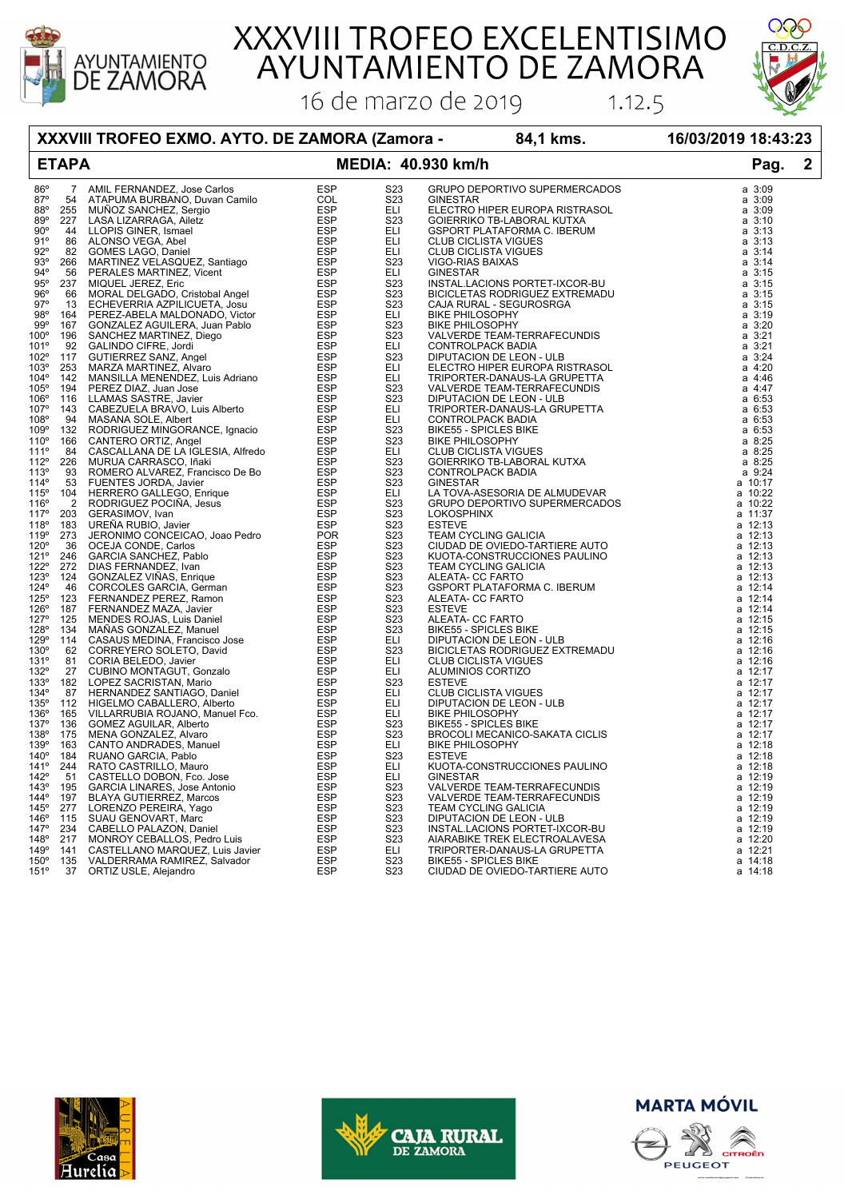

XXXVIII TROFEO EXCELENTISIMO<br>AYUNTAMIENTO DE ZAMORA

16 de marzo de 2019



 $1.12.5$ 

**XXXVIII TROFEO EXMO. AYTO. DE ZAMORA (Zamora - 84,1 kms. 16/03/2019 18:43:23**

## **ETAPA MEDIA: 40.930 km/h Pag. 2**

| 86°           |                                                                                                                                                                                                                                          | S <sub>2</sub> 3 | GRUPO DEPORTIVO SUPERMERCADOS                                                                                                                                                                                      | $a \, 3:09$ |
|---------------|------------------------------------------------------------------------------------------------------------------------------------------------------------------------------------------------------------------------------------------|------------------|--------------------------------------------------------------------------------------------------------------------------------------------------------------------------------------------------------------------|-------------|
| 87°           |                                                                                                                                                                                                                                          |                  |                                                                                                                                                                                                                    |             |
|               |                                                                                                                                                                                                                                          | S23              | GINESTAR                                                                                                                                                                                                           | $a \, 3:09$ |
| 88°           |                                                                                                                                                                                                                                          | ELI              | ELECTRO HIPER EUROPA RISTRASOL                                                                                                                                                                                     | $a \, 3:09$ |
|               |                                                                                                                                                                                                                                          |                  |                                                                                                                                                                                                                    |             |
| 89°           |                                                                                                                                                                                                                                          | <b>S23</b>       | GOIERRIKO TB-LABORAL KUTXA                                                                                                                                                                                         | $a \, 3:10$ |
| $90^{\circ}$  |                                                                                                                                                                                                                                          | <b>ELI</b>       | <b>GSPORT PLATAFORMA C. IBERUM</b>                                                                                                                                                                                 | $a \, 3:13$ |
|               |                                                                                                                                                                                                                                          | ELI              |                                                                                                                                                                                                                    |             |
| 91°           |                                                                                                                                                                                                                                          |                  | <b>CLUB CICLISTA VIGUES</b>                                                                                                                                                                                        | a 3:13      |
| $92^{\circ}$  |                                                                                                                                                                                                                                          | ELI              | <b>CLUB CICLISTA VIGUES</b>                                                                                                                                                                                        | $a \, 3:14$ |
|               |                                                                                                                                                                                                                                          |                  |                                                                                                                                                                                                                    |             |
| 93°           |                                                                                                                                                                                                                                          | S23              | VIGO-RIAS BAIXAS                                                                                                                                                                                                   | $a \, 3:14$ |
| $94^\circ$    |                                                                                                                                                                                                                                          | ELI              | VIGU-RIAS BAIAAS<br>INSTAL.LACIONS PORTET-IXCOR-BU<br>BICICLETAS RODRIGUEZ EXTREMADU                                                                                                                               | a 3:15      |
|               |                                                                                                                                                                                                                                          |                  |                                                                                                                                                                                                                    |             |
| 95°           |                                                                                                                                                                                                                                          | <b>S23</b>       |                                                                                                                                                                                                                    | a 3:15      |
| 96°           |                                                                                                                                                                                                                                          | S23              |                                                                                                                                                                                                                    | $a \, 3:15$ |
|               |                                                                                                                                                                                                                                          |                  |                                                                                                                                                                                                                    |             |
| $97^\circ$    |                                                                                                                                                                                                                                          | S <sub>23</sub>  | CAJA RURAL - SEGUROSRGA                                                                                                                                                                                            | $a \, 3:15$ |
| 98°           |                                                                                                                                                                                                                                          | ELI              | <b>BIKE PHILOSOPHY</b>                                                                                                                                                                                             | $a \, 3:19$ |
|               |                                                                                                                                                                                                                                          |                  |                                                                                                                                                                                                                    |             |
| 99°           |                                                                                                                                                                                                                                          | S23              | <b>BIKE PHILOSOPHY</b>                                                                                                                                                                                             | $a \, 3:20$ |
| $100^\circ$   |                                                                                                                                                                                                                                          | S23              | VALVERDE TEAM-TERRAFECUNDIS                                                                                                                                                                                        | $a \, 3:21$ |
|               |                                                                                                                                                                                                                                          |                  |                                                                                                                                                                                                                    |             |
| 101°          |                                                                                                                                                                                                                                          | <b>ELI</b>       | CONTROLPACK BADIA                                                                                                                                                                                                  | a 3:21      |
| 102°          |                                                                                                                                                                                                                                          | S23              | DIPUTACION DE LEON - ULB                                                                                                                                                                                           | $a \, 3:24$ |
|               |                                                                                                                                                                                                                                          |                  |                                                                                                                                                                                                                    |             |
| 103°          |                                                                                                                                                                                                                                          | <b>ELI</b>       | ELECTRO HIPER EUROPA RISTRASOL                                                                                                                                                                                     | a 4:20      |
|               |                                                                                                                                                                                                                                          | ELI              | TRIPORTER-DANAUS-LA GRUPETTA                                                                                                                                                                                       | $a \, 4:46$ |
| $104^\circ$   |                                                                                                                                                                                                                                          |                  |                                                                                                                                                                                                                    |             |
| 105°          |                                                                                                                                                                                                                                          | S23              | VALVERDE TEAM-TERRAFECUNDIS                                                                                                                                                                                        | a 4:47      |
| 106°          |                                                                                                                                                                                                                                          | S23              | DIPUTACION DE LEON - ULB                                                                                                                                                                                           | a 6:53      |
|               |                                                                                                                                                                                                                                          |                  |                                                                                                                                                                                                                    |             |
| 107°          |                                                                                                                                                                                                                                          | <b>ELI</b>       | TRIPORTER-DANAUS-LA GRUPETTA                                                                                                                                                                                       | a 6:53      |
|               |                                                                                                                                                                                                                                          | <b>ELI</b>       |                                                                                                                                                                                                                    |             |
| 108°          |                                                                                                                                                                                                                                          |                  | CONTROLPACK BADIA                                                                                                                                                                                                  | a 6:53      |
| 109°          |                                                                                                                                                                                                                                          | S23              |                                                                                                                                                                                                                    | a 6:53      |
|               |                                                                                                                                                                                                                                          |                  | CONTROLPACK BADIA<br>BIKESS - SPICLES BIKE<br>CLUB CICLISTA VIGUES<br>GOIERRIKO TB-LABORAL KUTXA<br>CONTROLPACK BADIA<br>CINESTAR<br>LA TOVA-ASESORIA DE ALMUDEVAR<br>GRUPO DEPORTIVO SUPERMERCADOS<br>I OKOSPHINX |             |
| $110^{\circ}$ |                                                                                                                                                                                                                                          | S <sub>23</sub>  |                                                                                                                                                                                                                    | a 8:25      |
| 111°          |                                                                                                                                                                                                                                          | <b>ELI</b>       |                                                                                                                                                                                                                    | a 8:25      |
|               |                                                                                                                                                                                                                                          |                  |                                                                                                                                                                                                                    |             |
| 112°          |                                                                                                                                                                                                                                          | S23              |                                                                                                                                                                                                                    | a 8:25      |
| 113°          |                                                                                                                                                                                                                                          | S23              |                                                                                                                                                                                                                    | a 9:24      |
|               |                                                                                                                                                                                                                                          |                  |                                                                                                                                                                                                                    |             |
| 114°          |                                                                                                                                                                                                                                          | S23              |                                                                                                                                                                                                                    | a 10:17     |
| 115°          |                                                                                                                                                                                                                                          | <b>ELI</b>       |                                                                                                                                                                                                                    | a 10:22     |
|               |                                                                                                                                                                                                                                          |                  |                                                                                                                                                                                                                    |             |
| 116°          |                                                                                                                                                                                                                                          | S23              |                                                                                                                                                                                                                    | a 10:22     |
| 117°          |                                                                                                                                                                                                                                          | S <sub>23</sub>  |                                                                                                                                                                                                                    | a 11:37     |
|               |                                                                                                                                                                                                                                          |                  |                                                                                                                                                                                                                    |             |
| 118°          |                                                                                                                                                                                                                                          | S <sub>23</sub>  | <b>ESTEVE</b>                                                                                                                                                                                                      | a 12:13     |
| 119°          |                                                                                                                                                                                                                                          | S23              | TEAM CYCLING GALICIA                                                                                                                                                                                               | a 12:13     |
|               |                                                                                                                                                                                                                                          |                  |                                                                                                                                                                                                                    |             |
| 120°          |                                                                                                                                                                                                                                          | <b>S23</b>       | CIUDAD DE OVIEDO-TARTIERE AUTO                                                                                                                                                                                     | a 12:13     |
| 121°          |                                                                                                                                                                                                                                          | S23              | KUOTA-CONSTRUCCIONES PAULINO                                                                                                                                                                                       | a 12:13     |
|               |                                                                                                                                                                                                                                          |                  |                                                                                                                                                                                                                    |             |
| 122°          |                                                                                                                                                                                                                                          | S23              | TEAM CYCLING GALICIA                                                                                                                                                                                               | a 12:13     |
| 123°          |                                                                                                                                                                                                                                          | S23              | ALEATA- CC FARTO                                                                                                                                                                                                   | a 12:13     |
|               |                                                                                                                                                                                                                                          |                  |                                                                                                                                                                                                                    |             |
| 124°          |                                                                                                                                                                                                                                          | S23              | <b>GSPORT PLATAFORMA C. IBERUM</b>                                                                                                                                                                                 | a 12:14     |
| 125°          |                                                                                                                                                                                                                                          | S <sub>2</sub> 3 |                                                                                                                                                                                                                    | $a$ 12:14   |
|               |                                                                                                                                                                                                                                          |                  |                                                                                                                                                                                                                    |             |
| 126°          |                                                                                                                                                                                                                                          | S23              | <b>ALEATA- CC FARTO<br/>ESTEVE<br/>ALEATA- CC FARTO<br/>BIKE55 - SPICLES BIKE<br/>DIPUTACION DE LEON - ULB<br/>DIPUTACION DE LEON - ULB<br/>DIPUTACION DE LEON - ULB</b>                                           | a 12:14     |
| $127^\circ$   |                                                                                                                                                                                                                                          | <b>S23</b>       |                                                                                                                                                                                                                    | a 12:15     |
|               |                                                                                                                                                                                                                                          |                  |                                                                                                                                                                                                                    |             |
| 128°          |                                                                                                                                                                                                                                          | S23              |                                                                                                                                                                                                                    | a 12:15     |
| 129°          |                                                                                                                                                                                                                                          | <b>ELI</b>       |                                                                                                                                                                                                                    | a 12:16     |
|               |                                                                                                                                                                                                                                          |                  |                                                                                                                                                                                                                    |             |
| 130°          |                                                                                                                                                                                                                                          | S23              |                                                                                                                                                                                                                    | a 12:16     |
| 131°          |                                                                                                                                                                                                                                          | <b>ELI</b>       |                                                                                                                                                                                                                    | a 12:16     |
|               |                                                                                                                                                                                                                                          |                  |                                                                                                                                                                                                                    |             |
| 132°          |                                                                                                                                                                                                                                          | <b>ELI</b>       |                                                                                                                                                                                                                    | a 12:17     |
| 133°          |                                                                                                                                                                                                                                          | S23              |                                                                                                                                                                                                                    | a 12:17     |
|               |                                                                                                                                                                                                                                          |                  |                                                                                                                                                                                                                    |             |
| 134°          |                                                                                                                                                                                                                                          | <b>ELI</b>       |                                                                                                                                                                                                                    | a 12:17     |
| 135°          |                                                                                                                                                                                                                                          | ELI              |                                                                                                                                                                                                                    | a 12:17     |
|               |                                                                                                                                                                                                                                          |                  |                                                                                                                                                                                                                    |             |
| 136°          |                                                                                                                                                                                                                                          | <b>ELI</b>       |                                                                                                                                                                                                                    | a 12:17     |
| $137^\circ$   |                                                                                                                                                                                                                                          | S <sub>2</sub> 3 |                                                                                                                                                                                                                    | a 12:17     |
|               |                                                                                                                                                                                                                                          |                  | CLUB CICLISTA VIGUES<br>ALUMINIOS CORTIZO<br>ESTEVE<br>CLUB CICLISTA VIGUES<br>DIPUTACION DE LEON - ULB<br>BIKE PHILOSOPHY<br>BIKES - SPICLES BIKE<br>BROCOLLMECANICO SAVATA CARRE                                 |             |
| 138°          |                                                                                                                                                                                                                                          | S <sub>23</sub>  | BROCOLI MECANICO-SAKATA CICLIS                                                                                                                                                                                     | a 12:17     |
| 139°          |                                                                                                                                                                                                                                          | <b>ELI</b>       | BIKE PHILOSOPHY                                                                                                                                                                                                    | a 12:18     |
|               |                                                                                                                                                                                                                                          |                  |                                                                                                                                                                                                                    |             |
| $140^\circ$   |                                                                                                                                                                                                                                          | S23              | <b>ESTEVE</b>                                                                                                                                                                                                      | a 12:18     |
| 141°          |                                                                                                                                                                                                                                          | <b>ELI</b>       | KUOTA-CONSTRUCCIONES PAULINO                                                                                                                                                                                       | a 12:18     |
|               |                                                                                                                                                                                                                                          |                  |                                                                                                                                                                                                                    |             |
| 142°          |                                                                                                                                                                                                                                          | ELI              | GINESTAR                                                                                                                                                                                                           | a 12:19     |
| 143°          |                                                                                                                                                                                                                                          | S23              | VALVERDE TEAM-TERRAFECUNDIS                                                                                                                                                                                        | a 12:19     |
|               |                                                                                                                                                                                                                                          |                  |                                                                                                                                                                                                                    |             |
| $144^\circ$   |                                                                                                                                                                                                                                          | S23              | VALVERDE TEAM-TERRAFECUNDIS                                                                                                                                                                                        | a 12:19     |
| $145^\circ$   |                                                                                                                                                                                                                                          | S <sub>23</sub>  | <b>TEAM CYCLING GALICIA</b>                                                                                                                                                                                        | a 12:19     |
|               |                                                                                                                                                                                                                                          |                  |                                                                                                                                                                                                                    |             |
| 146°          |                                                                                                                                                                                                                                          | S23              | DIPUTACION DE LEON - ULB                                                                                                                                                                                           | a 12:19     |
| 147°          |                                                                                                                                                                                                                                          | S23              |                                                                                                                                                                                                                    | a 12:19     |
|               |                                                                                                                                                                                                                                          |                  | INSTAL.LACIONS PORTET-IXCOR-BU                                                                                                                                                                                     |             |
| 148°          |                                                                                                                                                                                                                                          | S23              | AIARABIKE TREK ELECTROALAVESA                                                                                                                                                                                      | a 12:20     |
|               |                                                                                                                                                                                                                                          | <b>ELI</b>       |                                                                                                                                                                                                                    | a 12:21     |
| 149°          |                                                                                                                                                                                                                                          |                  | TRIPORTER-DANAUS-LA GRUPETTA                                                                                                                                                                                       |             |
| $150^\circ$   | 7 AMILIERNAMDRE, Joseph GALIEGA, Alemannia (1988)<br>SA ATAPUMA BURBANO, Duvan Camile<br>257 MUNOZ SANCHER, Branel (1998)<br>266 MUNOZ SANCHER, Branel (1998)<br>266 MUNOZ SANCHER, Encyclopedia Angel (1998)<br>267 MUNOZ SOVIET (1998) | S <sub>23</sub>  | <b>BIKE55 - SPICLES BIKE</b>                                                                                                                                                                                       | a 14:18     |
|               |                                                                                                                                                                                                                                          |                  |                                                                                                                                                                                                                    |             |
| 151°          |                                                                                                                                                                                                                                          | S <sub>23</sub>  | CIUDAD DE OVIEDO-TARTIERE AUTO                                                                                                                                                                                     | a 14:18     |







PEUGEOT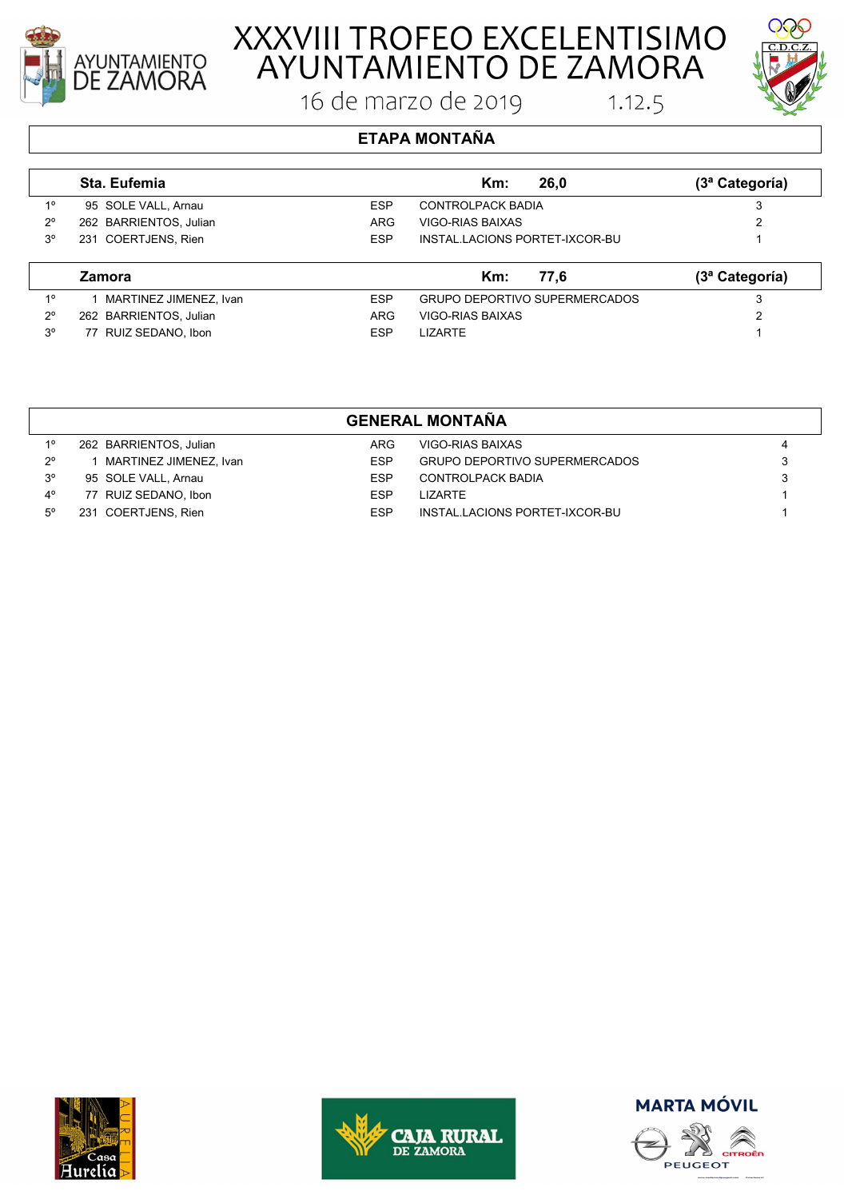

# XXXVIII TROFEO EXCELENTISIMO<br>AYUNTAMIENTO DE ZAMORA

16 de marzo de 2019



 $1.12.5$ 

### **ETAPA MONTAÑA**

|             | Sta. Eufemia           |            | Km:<br>26.0                    | (3ª Categoría)               |
|-------------|------------------------|------------|--------------------------------|------------------------------|
| 10          | 95 SOLE VALL, Arnau    | <b>ESP</b> | <b>CONTROLPACK BADIA</b>       | 3                            |
| $2^{\circ}$ | 262 BARRIENTOS, Julian | <b>ARG</b> | VIGO-RIAS BAIXAS               | ∩                            |
| $3^{\circ}$ | 231 COERTJENS, Rien    | <b>ESP</b> | INSTAL LACIONS PORTET-IXCOR-BU |                              |
|             | <b>Zamora</b>          |            | Km:<br>77.6                    | (3 <sup>a</sup> Categorical) |
| 10          | MARTINEZ JIMENEZ, Ivan | <b>ESP</b> | GRUPO DEPORTIVO SUPERMERCADOS  | 3                            |

| GENERAL MONTAÑA |                      |            |         |  |  |
|-----------------|----------------------|------------|---------|--|--|
|                 |                      |            |         |  |  |
|                 |                      |            |         |  |  |
|                 |                      |            |         |  |  |
|                 |                      |            |         |  |  |
| $3^{\circ}$     | 77 RUIZ SEDANO, Ibon | <b>ESP</b> | LIZARTE |  |  |

2º 262 BARRIENTOS, Julian ARG VIGO-RIAS BAIXAS 2

|             | <u>ULIILIVAL IIIVII LAIIA</u> |            |                                      |   |  |  |
|-------------|-------------------------------|------------|--------------------------------------|---|--|--|
| 10          | 262 BARRIENTOS, Julian        | ARG        | VIGO-RIAS BAIXAS                     | 4 |  |  |
| $2^{\circ}$ | MARTINEZ JIMENEZ, Ivan        | <b>ESP</b> | <b>GRUPO DEPORTIVO SUPERMERCADOS</b> |   |  |  |
| $3^{\circ}$ | 95 SOLE VALL, Arnau           | FSP        | CONTROLPACK BADIA                    |   |  |  |
| 4°          | 77 RUIZ SEDANO, Ibon          | FSP        | I IZARTF                             |   |  |  |
| $5^\circ$   | 231 COERTJENS, Rien           | <b>ESP</b> | INSTAL.LACIONS PORTET-IXCOR-BU       |   |  |  |
|             |                               |            |                                      |   |  |  |







PEUGEOT